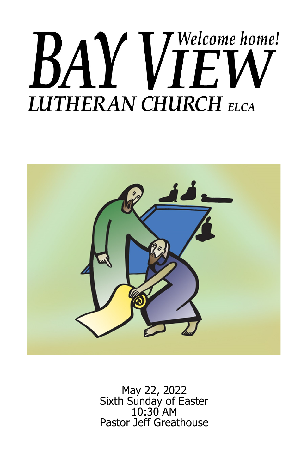# Welcome home! **LUTHERAN CHURCH ELCA**



May 22, 2022 Sixth Sunday of Easter 10:30 AM Pastor Jeff Greathouse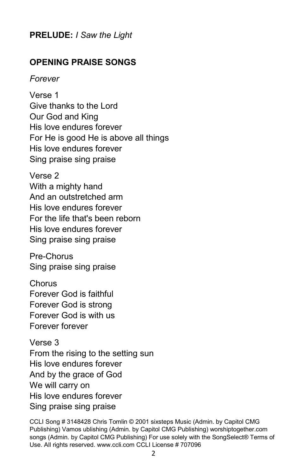**PRELUDE:** *I Saw the Light*

#### **OPENING PRAISE SONGS**

#### *Forever*

Verse 1 Give thanks to the Lord Our God and King His love endures forever For He is good He is above all things His love endures forever Sing praise sing praise

Verse 2 With a mighty hand And an outstretched arm His love endures forever For the life that's been reborn His love endures forever Sing praise sing praise

Pre-Chorus Sing praise sing praise

Chorus Forever God is faithful Forever God is strong Forever God is with us Forever forever

Verse 3 From the rising to the setting sun His love endures forever And by the grace of God We will carry on His love endures forever Sing praise sing praise

CCLI Song # 3148428 Chris Tomlin © 2001 sixsteps Music (Admin. by Capitol CMG Publishing) Vamos ublishing (Admin. by Capitol CMG Publishing) worshiptogether.com songs (Admin. by Capitol CMG Publishing) For use solely with the SongSelect® Terms of Use. All rights reserved. www.ccli.com CCLI License # 707096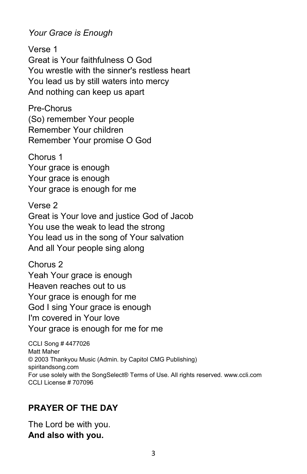*Your Grace is Enough*

Verse 1 Great is Your faithfulness O God You wrestle with the sinner's restless heart You lead us by still waters into mercy And nothing can keep us apart

Pre-Chorus (So) remember Your people Remember Your children Remember Your promise O God

Chorus 1 Your grace is enough Your grace is enough Your grace is enough for me

Verse 2 Great is Your love and justice God of Jacob You use the weak to lead the strong You lead us in the song of Your salvation And all Your people sing along

Chorus 2 Yeah Your grace is enough Heaven reaches out to us Your grace is enough for me God I sing Your grace is enough I'm covered in Your love Your grace is enough for me for me

CCLI Song # 4477026 Matt Maher © 2003 Thankyou Music (Admin. by Capitol CMG Publishing) spiritandsong.com For use solely with the SongSelect® Terms of Use. All rights reserved. www.ccli.com CCLI License # 707096

# **PRAYER OF THE DAY**

The Lord be with you. **And also with you.**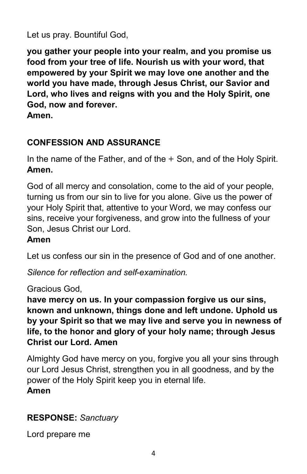Let us pray. Bountiful God,

**you gather your people into your realm, and you promise us food from your tree of life. Nourish us with your word, that empowered by your Spirit we may love one another and the world you have made, through Jesus Christ, our Savior and Lord, who lives and reigns with you and the Holy Spirit, one God, now and forever.**

**Amen.**

# **CONFESSION AND ASSURANCE**

In the name of the Father, and of the  $+$  Son, and of the Holy Spirit. **Amen.**

God of all mercy and consolation, come to the aid of your people, turning us from our sin to live for you alone. Give us the power of your Holy Spirit that, attentive to your Word, we may confess our sins, receive your forgiveness, and grow into the fullness of your Son, Jesus Christ our Lord.

#### **Amen**

Let us confess our sin in the presence of God and of one another.

*Silence for reflection and self-examination.*

Gracious God,

**have mercy on us. In your compassion forgive us our sins, known and unknown, things done and left undone. Uphold us by your Spirit so that we may live and serve you in newness of life, to the honor and glory of your holy name; through Jesus Christ our Lord. Amen**

Almighty God have mercy on you, forgive you all your sins through our Lord Jesus Christ, strengthen you in all goodness, and by the power of the Holy Spirit keep you in eternal life.

#### **Amen**

# **RESPONSE:** *Sanctuary*

Lord prepare me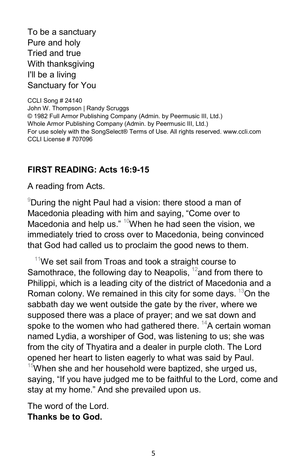To be a sanctuary Pure and holy Tried and true With thanksgiving I'll be a living Sanctuary for You

CCLI Song # 24140 John W. Thompson | Randy Scruggs © 1982 Full Armor Publishing Company (Admin. by Peermusic III, Ltd.) Whole Armor Publishing Company (Admin. by Peermusic III, Ltd.) For use solely with the SongSelect® Terms of Use. All rights reserved. www.ccli.com CCLI License # 707096

#### **FIRST READING: Acts 16:9-15**

A reading from Acts.

 $\mathrm{P}^9$ During the night Paul had a vision: there stood a man of Macedonia pleading with him and saying, "Come over to Macedonia and help us."  $10$ When he had seen the vision, we immediately tried to cross over to Macedonia, being convinced that God had called us to proclaim the good news to them.

 $11$ We set sail from Troas and took a straight course to Samothrace, the following day to Neapolis,  $12$  and from there to Philippi, which is a leading city of the district of Macedonia and a Roman colony. We remained in this city for some days.  $13$ On the sabbath day we went outside the gate by the river, where we supposed there was a place of prayer; and we sat down and spoke to the women who had gathered there.  $14A$  certain woman named Lydia, a worshiper of God, was listening to us; she was from the city of Thyatira and a dealer in purple cloth. The Lord opened her heart to listen eagerly to what was said by Paul.  $15$ When she and her household were baptized, she urged us, saying, "If you have judged me to be faithful to the Lord, come and stay at my home." And she prevailed upon us.

The word of the Lord. **Thanks be to God.**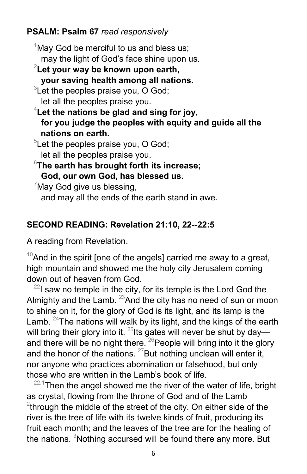# **PSALM: Psalm 67** *read responsively*

 $1$ May God be merciful to us and bless us; may the light of God's face shine upon us.

- 2 **Let your way be known upon earth, your saving health among all nations.**
- ${}^{3}$ Let the peoples praise you, O God; let all the peoples praise you.

4 **Let the nations be glad and sing for joy, for you judge the peoples with equity and guide all the nations on earth.**

 $5$ Let the peoples praise you, O God; let all the peoples praise you.

# 6 **The earth has brought forth its increase; God, our own God, has blessed us.**

 $7$ May God give us blessing, and may all the ends of the earth stand in awe.

# **SECOND READING: Revelation 21:10, 22--22:5**

A reading from Revelation.

 $10$ And in the spirit [one of the angels] carried me away to a great, high mountain and showed me the holy city Jerusalem coming down out of heaven from God.

 $22$ I saw no temple in the city, for its temple is the Lord God the Almighty and the Lamb.  $^{23}$ And the city has no need of sun or moon to shine on it, for the glory of God is its light, and its lamp is the Lamb.  $24$ The nations will walk by its light, and the kings of the earth will bring their glory into it.  $^{25}$  Its gates will never be shut by day and there will be no night there.  $^{26}$ People will bring into it the glory and the honor of the nations.  $^{27}$ But nothing unclean will enter it, nor anyone who practices abomination or falsehood, but only those who are written in the Lamb's book of life.

 $22.1$ Then the angel showed me the river of the water of life, bright as crystal, flowing from the throne of God and of the Lamb  $2$ through the middle of the street of the city. On either side of the river is the tree of life with its twelve kinds of fruit, producing its fruit each month; and the leaves of the tree are for the healing of the nations. <sup>3</sup>Nothing accursed will be found there any more. But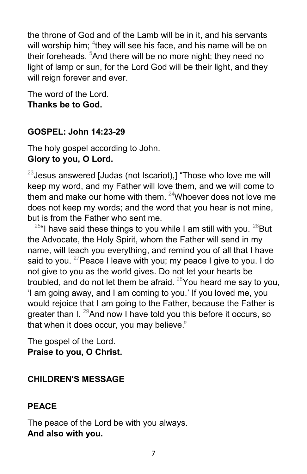the throne of God and of the Lamb will be in it, and his servants will worship him;  ${}^{4}$ they will see his face, and his name will be on their foreheads. <sup>5</sup>And there will be no more night; they need no light of lamp or sun, for the Lord God will be their light, and they will reign forever and ever.

The word of the Lord. **Thanks be to God.**

#### **GOSPEL: John 14:23-29**

The holy gospel according to John. **Glory to you, O Lord.**

 $^{23}$ Jesus answered [Judas (not Iscariot),] "Those who love me will keep my word, and my Father will love them, and we will come to them and make our home with them.  $24$ Whoever does not love me does not keep my words; and the word that you hear is not mine, but is from the Father who sent me.

 $^{25}$ "I have said these things to you while I am still with you.  $^{26}$ But the Advocate, the Holy Spirit, whom the Father will send in my name, will teach you everything, and remind you of all that I have said to you. <sup>27</sup> Peace I leave with you; my peace I give to you. I do not give to you as the world gives. Do not let your hearts be troubled, and do not let them be afraid.  $28$ You heard me say to you, 'I am going away, and I am coming to you.' If you loved me, you would rejoice that I am going to the Father, because the Father is areater than I. <sup>29</sup> And now I have told you this before it occurs, so that when it does occur, you may believe."

The gospel of the Lord. **Praise to you, O Christ.**

#### **CHILDREN'S MESSAGE**

# **PEACE**

The peace of the Lord be with you always. **And also with you.**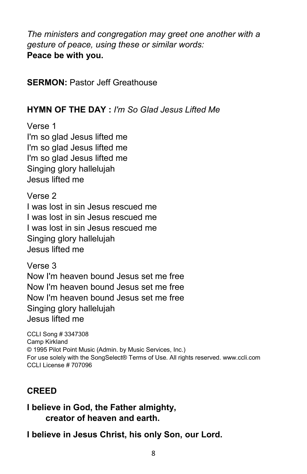*The ministers and congregation may greet one another with a gesture of peace, using these or similar words:* **Peace be with you.**

**SERMON: Pastor Jeff Greathouse** 

#### **HYMN OF THE DAY :** *I'm So Glad Jesus Lifted Me*

Verse 1 I'm so glad Jesus lifted me I'm so glad Jesus lifted me I'm so glad Jesus lifted me Singing glory hallelujah Jesus lifted me

Verse 2 I was lost in sin Jesus rescued me I was lost in sin Jesus rescued me I was lost in sin Jesus rescued me Singing glory hallelujah Jesus lifted me

Verse 3 Now I'm heaven bound Jesus set me free Now I'm heaven bound Jesus set me free Now I'm heaven bound Jesus set me free Singing glory hallelujah Jesus lifted me

CCLI Song # 3347308 Camp Kirkland © 1995 Pilot Point Music (Admin. by Music Services, Inc.) For use solely with the SongSelect® Terms of Use. All rights reserved. www.ccli.com CCLI License # 707096

#### **CREED**

**I believe in God, the Father almighty, creator of heaven and earth.**

**I believe in Jesus Christ, his only Son, our Lord.**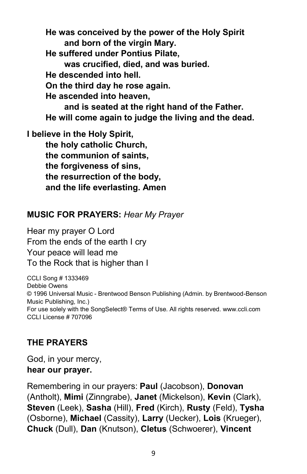**He was conceived by the power of the Holy Spirit and born of the virgin Mary. He suffered under Pontius Pilate, was crucified, died, and was buried. He descended into hell. On the third day he rose again. He ascended into heaven, and is seated at the right hand of the Father. He will come again to judge the living and the dead.**

**I believe in the Holy Spirit, the holy catholic Church, the communion of saints, the forgiveness of sins, the resurrection of the body, and the life everlasting. Amen**

#### **MUSIC FOR PRAYERS:** *Hear My Prayer*

Hear my prayer O Lord From the ends of the earth I cry Your peace will lead me To the Rock that is higher than I

CCLI Song # 1333469 Debbie Owens © 1996 Universal Music - Brentwood Benson Publishing (Admin. by Brentwood-Benson Music Publishing, Inc.) For use solely with the SongSelect® Terms of Use. All rights reserved. www.ccli.com CCLI License # 707096

# **THE PRAYERS**

God, in your mercy, **hear our prayer.**

Remembering in our prayers: **Paul** (Jacobson), **Donovan**  (Antholt), **Mimi** (Zinngrabe), **Janet** (Mickelson), **Kevin** (Clark), **Steven** (Leek), **Sasha** (Hill), **Fred** (Kirch), **Rusty** (Feld), **Tysha**  (Osborne), **Michael** (Cassity), **Larry** (Uecker), **Lois** (Krueger), **Chuck** (Dull), **Dan** (Knutson), **Cletus** (Schwoerer), **Vincent**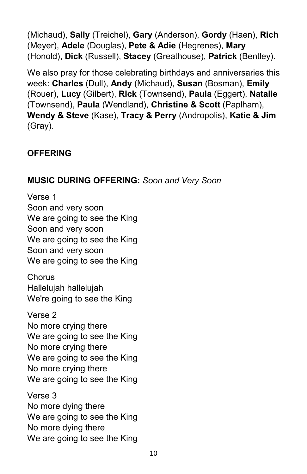(Michaud), **Sally** (Treichel), **Gary** (Anderson), **Gordy** (Haen), **Rich**  (Meyer), **Adele** (Douglas), **Pete & Adie** (Hegrenes), **Mary**  (Honold), **Dick** (Russell), **Stacey** (Greathouse), **Patrick** (Bentley).

We also pray for those celebrating birthdays and anniversaries this week: **Charles** (Dull), **Andy** (Michaud), **Susan** (Bosman), **Emily**  (Rouer), **Lucy** (Gilbert), **Rick** (Townsend), **Paula** (Eggert), **Natalie**  (Townsend), **Paula** (Wendland), **Christine & Scott** (Paplham), **Wendy & Steve** (Kase), **Tracy & Perry** (Andropolis), **Katie & Jim**  (Gray).

# **OFFERING**

# **MUSIC DURING OFFERING:** *Soon and Very Soon*

Verse 1 Soon and very soon We are going to see the King Soon and very soon We are going to see the King Soon and very soon We are going to see the King **Chorus** Hallelujah hallelujah We're going to see the King Verse 2 No more crying there We are going to see the King No more crying there We are going to see the King No more crying there We are going to see the King Verse 3 No more dying there We are going to see the King No more dying there We are going to see the King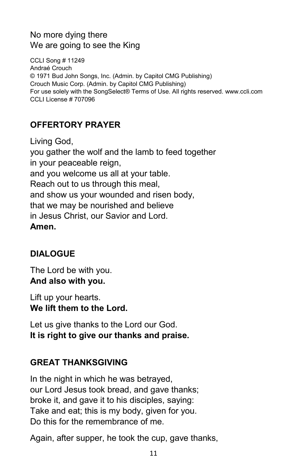#### No more dying there We are going to see the King

CCLI Song # 11249 Andraé Crouch © 1971 Bud John Songs, Inc. (Admin. by Capitol CMG Publishing) Crouch Music Corp. (Admin. by Capitol CMG Publishing) For use solely with the SongSelect® Terms of Use. All rights reserved. www.ccli.com CCLI License # 707096

# **OFFERTORY PRAYER**

Living God, you gather the wolf and the lamb to feed together in your peaceable reign, and you welcome us all at your table. Reach out to us through this meal, and show us your wounded and risen body, that we may be nourished and believe in Jesus Christ, our Savior and Lord. **Amen.**

# **DIALOGUE**

The Lord be with you. **And also with you.**

Lift up your hearts. **We lift them to the Lord.**

Let us give thanks to the Lord our God. **It is right to give our thanks and praise.**

# **GREAT THANKSGIVING**

In the night in which he was betrayed, our Lord Jesus took bread, and gave thanks; broke it, and gave it to his disciples, saying: Take and eat; this is my body, given for you. Do this for the remembrance of me.

Again, after supper, he took the cup, gave thanks,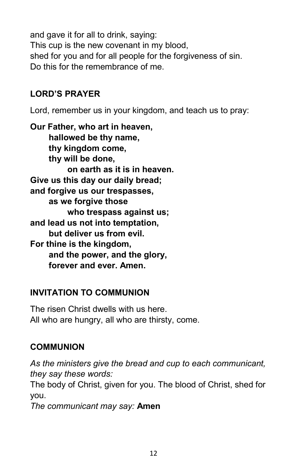and gave it for all to drink, saying: This cup is the new covenant in my blood, shed for you and for all people for the forgiveness of sin. Do this for the remembrance of me.

# **LORD'S PRAYER**

Lord, remember us in your kingdom, and teach us to pray:

**Our Father, who art in heaven, hallowed be thy name, thy kingdom come, thy will be done, on earth as it is in heaven. Give us this day our daily bread; and forgive us our trespasses, as we forgive those who trespass against us; and lead us not into temptation, but deliver us from evil. For thine is the kingdom, and the power, and the glory, forever and ever. Amen.**

#### **INVITATION TO COMMUNION**

The risen Christ dwells with us here. All who are hungry, all who are thirsty, come.

#### **COMMUNION**

*As the ministers give the bread and cup to each communicant, they say these words:*

The body of Christ, given for you. The blood of Christ, shed for you.

*The communicant may say:* **Amen**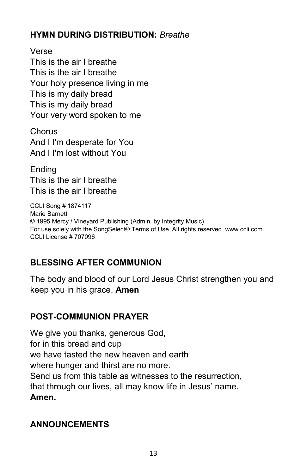# **HYMN DURING DISTRIBUTION:** *Breathe*

Verse This is the air I breathe This is the air I breathe Your holy presence living in me This is my daily bread This is my daily bread Your very word spoken to me

**Chorus** And I I'm desperate for You And I I'm lost without You

Ending This is the air I breathe This is the air I breathe

CCLI Song # 1874117 Marie Barnett © 1995 Mercy / Vineyard Publishing (Admin. by Integrity Music) For use solely with the SongSelect® Terms of Use. All rights reserved. www.ccli.com CCLI License # 707096

# **BLESSING AFTER COMMUNION**

The body and blood of our Lord Jesus Christ strengthen you and keep you in his grace. **Amen**

# **POST-COMMUNION PRAYER**

We give you thanks, generous God, for in this bread and cup we have tasted the new heaven and earth where hunger and thirst are no more. Send us from this table as witnesses to the resurrection, that through our lives, all may know life in Jesus' name. **Amen.**

# **ANNOUNCEMENTS**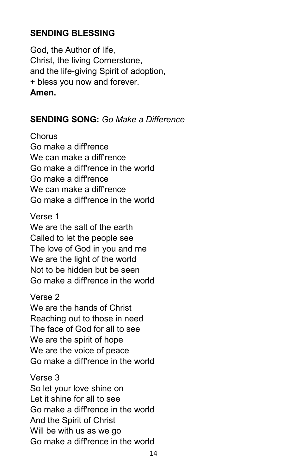#### **SENDING BLESSING**

God, the Author of life, Christ, the living Cornerstone, and the life-giving Spirit of adoption, + bless you now and forever. **Amen.**

#### **SENDING SONG:** *Go Make a Difference*

**Chorus** Go make a diff'rence We can make a diff'rence Go make a diff'rence in the world Go make a diff'rence We can make a diff'rence Go make a diff'rence in the world

Verse 1 We are the salt of the earth Called to let the people see The love of God in you and me We are the light of the world Not to be hidden but be seen Go make a diff'rence in the world

Verse 2 We are the hands of Christ Reaching out to those in need The face of God for all to see We are the spirit of hope We are the voice of peace Go make a diff'rence in the world

Verse 3 So let your love shine on Let it shine for all to see Go make a diff'rence in the world And the Spirit of Christ Will be with us as we go Go make a diff'rence in the world